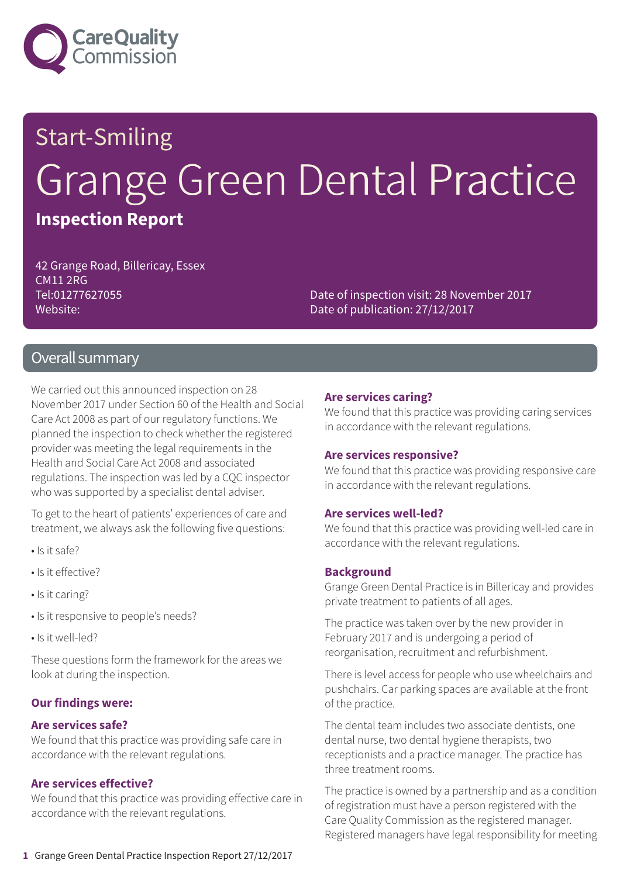

# Start-Smiling Grange Green Dental Practice **Inspection Report**

42 Grange Road, Billericay, Essex CM11 2RG Tel:01277627055 Website:

Date of inspection visit: 28 November 2017 Date of publication: 27/12/2017

### Overall summary

We carried out this announced inspection on 28 November 2017 under Section 60 of the Health and Social Care Act 2008 as part of our regulatory functions. We planned the inspection to check whether the registered provider was meeting the legal requirements in the Health and Social Care Act 2008 and associated regulations. The inspection was led by a CQC inspector who was supported by a specialist dental adviser.

To get to the heart of patients' experiences of care and treatment, we always ask the following five questions:

- Is it safe?
- Is it effective?
- Is it caring?
- Is it responsive to people's needs?
- Is it well-led?

These questions form the framework for the areas we look at during the inspection.

#### **Our findings were:**

#### **Are services safe?**

We found that this practice was providing safe care in accordance with the relevant regulations.

#### **Are services effective?**

We found that this practice was providing effective care in accordance with the relevant regulations.

#### **Are services caring?**

We found that this practice was providing caring services in accordance with the relevant regulations.

#### **Are services responsive?**

We found that this practice was providing responsive care in accordance with the relevant regulations.

#### **Are services well-led?**

We found that this practice was providing well-led care in accordance with the relevant regulations.

#### **Background**

Grange Green Dental Practice is in Billericay and provides private treatment to patients of all ages.

The practice was taken over by the new provider in February 2017 and is undergoing a period of reorganisation, recruitment and refurbishment.

There is level access for people who use wheelchairs and pushchairs. Car parking spaces are available at the front of the practice.

The dental team includes two associate dentists, one dental nurse, two dental hygiene therapists, two receptionists and a practice manager. The practice has three treatment rooms.

The practice is owned by a partnership and as a condition of registration must have a person registered with the Care Quality Commission as the registered manager. Registered managers have legal responsibility for meeting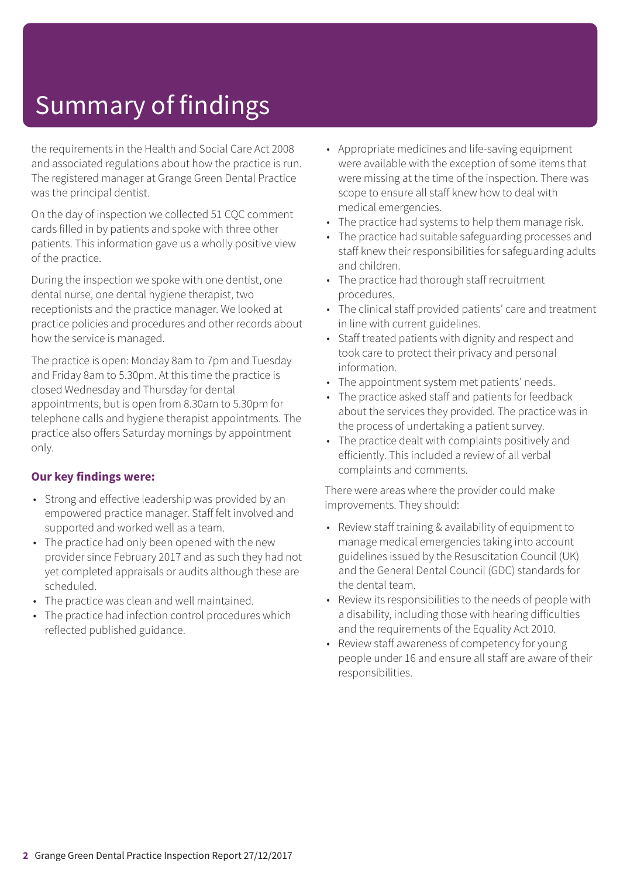# Summary of findings

the requirements in the Health and Social Care Act 2008 and associated regulations about how the practice is run. The registered manager at Grange Green Dental Practice was the principal dentist.

On the day of inspection we collected 51 CQC comment cards filled in by patients and spoke with three other patients. This information gave us a wholly positive view of the practice.

During the inspection we spoke with one dentist, one dental nurse, one dental hygiene therapist, two receptionists and the practice manager. We looked at practice policies and procedures and other records about how the service is managed.

The practice is open: Monday 8am to 7pm and Tuesday and Friday 8am to 5.30pm. At this time the practice is closed Wednesday and Thursday for dental appointments, but is open from 8.30am to 5.30pm for telephone calls and hygiene therapist appointments. The practice also offers Saturday mornings by appointment only.

### **Our key findings were:**

- Strong and effective leadership was provided by an empowered practice manager. Staff felt involved and supported and worked well as a team.
- The practice had only been opened with the new provider since February 2017 and as such they had not yet completed appraisals or audits although these are scheduled.
- The practice was clean and well maintained.
- The practice had infection control procedures which reflected published guidance.
- Appropriate medicines and life-saving equipment were available with the exception of some items that were missing at the time of the inspection. There was scope to ensure all staff knew how to deal with medical emergencies.
- The practice had systems to help them manage risk.
- The practice had suitable safeguarding processes and staff knew their responsibilities for safeguarding adults and children.
- The practice had thorough staff recruitment procedures.
- The clinical staff provided patients' care and treatment in line with current guidelines.
- Staff treated patients with dignity and respect and took care to protect their privacy and personal information.
- The appointment system met patients' needs.
- The practice asked staff and patients for feedback about the services they provided. The practice was in the process of undertaking a patient survey.
- The practice dealt with complaints positively and efficiently. This included a review of all verbal complaints and comments.

There were areas where the provider could make improvements. They should:

- Review staff training & availability of equipment to manage medical emergencies taking into account guidelines issued by the Resuscitation Council (UK) and the General Dental Council (GDC) standards for the dental team.
- Review its responsibilities to the needs of people with a disability, including those with hearing difficulties and the requirements of the Equality Act 2010.
- Review staff awareness of competency for young people under 16 and ensure all staff are aware of their responsibilities.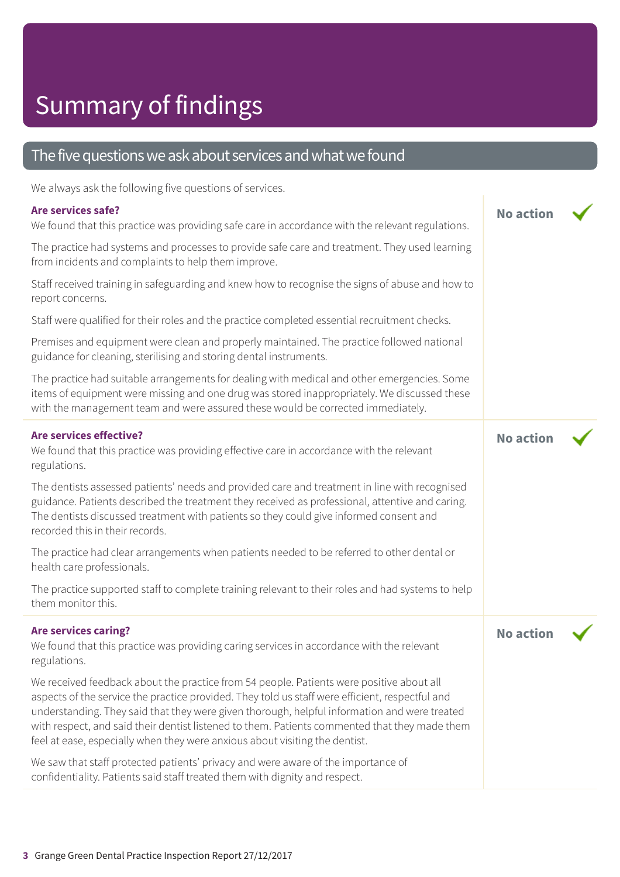# Summary of findings

### The five questions we ask about services and what we found

We always ask the following five questions of services.

### **Are services safe?**

| WE divid you ask the following live questions of services.                                                                                                                                                                                                                                                                                                                                                                                                                  |                  |  |
|-----------------------------------------------------------------------------------------------------------------------------------------------------------------------------------------------------------------------------------------------------------------------------------------------------------------------------------------------------------------------------------------------------------------------------------------------------------------------------|------------------|--|
| Are services safe?<br>We found that this practice was providing safe care in accordance with the relevant regulations.                                                                                                                                                                                                                                                                                                                                                      | <b>No action</b> |  |
| The practice had systems and processes to provide safe care and treatment. They used learning<br>from incidents and complaints to help them improve.                                                                                                                                                                                                                                                                                                                        |                  |  |
| Staff received training in safeguarding and knew how to recognise the signs of abuse and how to<br>report concerns.                                                                                                                                                                                                                                                                                                                                                         |                  |  |
| Staff were qualified for their roles and the practice completed essential recruitment checks.                                                                                                                                                                                                                                                                                                                                                                               |                  |  |
| Premises and equipment were clean and properly maintained. The practice followed national<br>guidance for cleaning, sterilising and storing dental instruments.                                                                                                                                                                                                                                                                                                             |                  |  |
| The practice had suitable arrangements for dealing with medical and other emergencies. Some<br>items of equipment were missing and one drug was stored inappropriately. We discussed these<br>with the management team and were assured these would be corrected immediately.                                                                                                                                                                                               |                  |  |
| <b>Are services effective?</b><br>We found that this practice was providing effective care in accordance with the relevant<br>regulations.                                                                                                                                                                                                                                                                                                                                  | <b>No action</b> |  |
| The dentists assessed patients' needs and provided care and treatment in line with recognised<br>guidance. Patients described the treatment they received as professional, attentive and caring.<br>The dentists discussed treatment with patients so they could give informed consent and<br>recorded this in their records.                                                                                                                                               |                  |  |
| The practice had clear arrangements when patients needed to be referred to other dental or<br>health care professionals.                                                                                                                                                                                                                                                                                                                                                    |                  |  |
| The practice supported staff to complete training relevant to their roles and had systems to help<br>them monitor this.                                                                                                                                                                                                                                                                                                                                                     |                  |  |
| <b>Are services caring?</b><br>We found that this practice was providing caring services in accordance with the relevant<br>regulations.                                                                                                                                                                                                                                                                                                                                    | <b>No action</b> |  |
| We received feedback about the practice from 54 people. Patients were positive about all<br>aspects of the service the practice provided. They told us staff were efficient, respectful and<br>understanding. They said that they were given thorough, helpful information and were treated<br>with respect, and said their dentist listened to them. Patients commented that they made them<br>feel at ease, especially when they were anxious about visiting the dentist. |                  |  |
| We saw that staff protected patients' privacy and were aware of the importance of<br>confidentiality. Patients said staff treated them with dignity and respect.                                                                                                                                                                                                                                                                                                            |                  |  |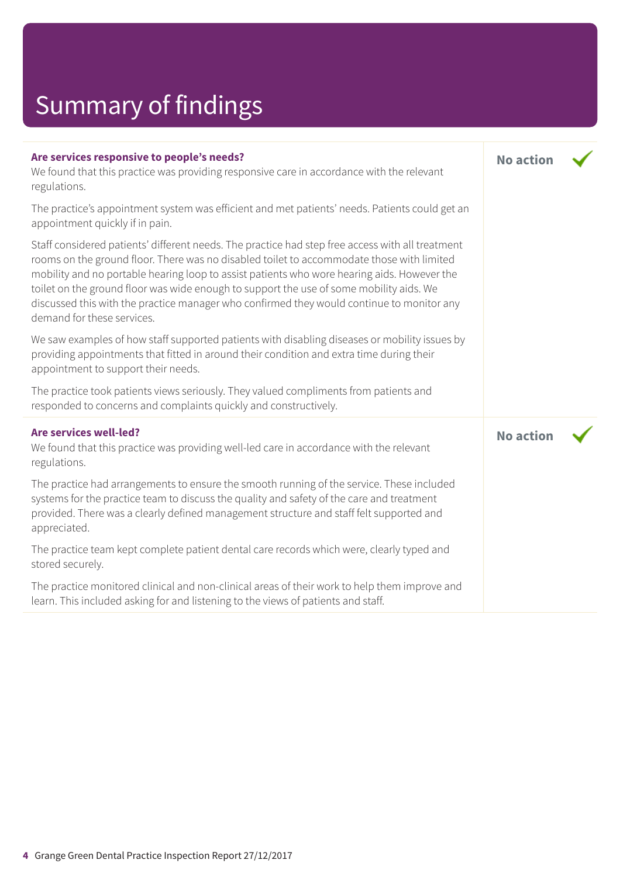# Summary of findings

| Are services responsive to people's needs?<br>We found that this practice was providing responsive care in accordance with the relevant<br>regulations.                                                                                                                                                                                                                                                                                                                                                            | <b>No action</b> |  |
|--------------------------------------------------------------------------------------------------------------------------------------------------------------------------------------------------------------------------------------------------------------------------------------------------------------------------------------------------------------------------------------------------------------------------------------------------------------------------------------------------------------------|------------------|--|
| The practice's appointment system was efficient and met patients' needs. Patients could get an<br>appointment quickly if in pain.                                                                                                                                                                                                                                                                                                                                                                                  |                  |  |
| Staff considered patients' different needs. The practice had step free access with all treatment<br>rooms on the ground floor. There was no disabled toilet to accommodate those with limited<br>mobility and no portable hearing loop to assist patients who wore hearing aids. However the<br>toilet on the ground floor was wide enough to support the use of some mobility aids. We<br>discussed this with the practice manager who confirmed they would continue to monitor any<br>demand for these services. |                  |  |
| We saw examples of how staff supported patients with disabling diseases or mobility issues by<br>providing appointments that fitted in around their condition and extra time during their<br>appointment to support their needs.                                                                                                                                                                                                                                                                                   |                  |  |
| The practice took patients views seriously. They valued compliments from patients and<br>responded to concerns and complaints quickly and constructively.                                                                                                                                                                                                                                                                                                                                                          |                  |  |
| Are services well-led?<br>We found that this practice was providing well-led care in accordance with the relevant<br>regulations.                                                                                                                                                                                                                                                                                                                                                                                  | <b>No action</b> |  |
| The practice had arrangements to ensure the smooth running of the service. These included<br>systems for the practice team to discuss the quality and safety of the care and treatment<br>provided. There was a clearly defined management structure and staff felt supported and<br>appreciated.                                                                                                                                                                                                                  |                  |  |
| The practice team kept complete patient dental care records which were, clearly typed and<br>stored securely.                                                                                                                                                                                                                                                                                                                                                                                                      |                  |  |
| The practice monitored clinical and non-clinical areas of their work to help them improve and<br>learn. This included asking for and listening to the views of patients and staff.                                                                                                                                                                                                                                                                                                                                 |                  |  |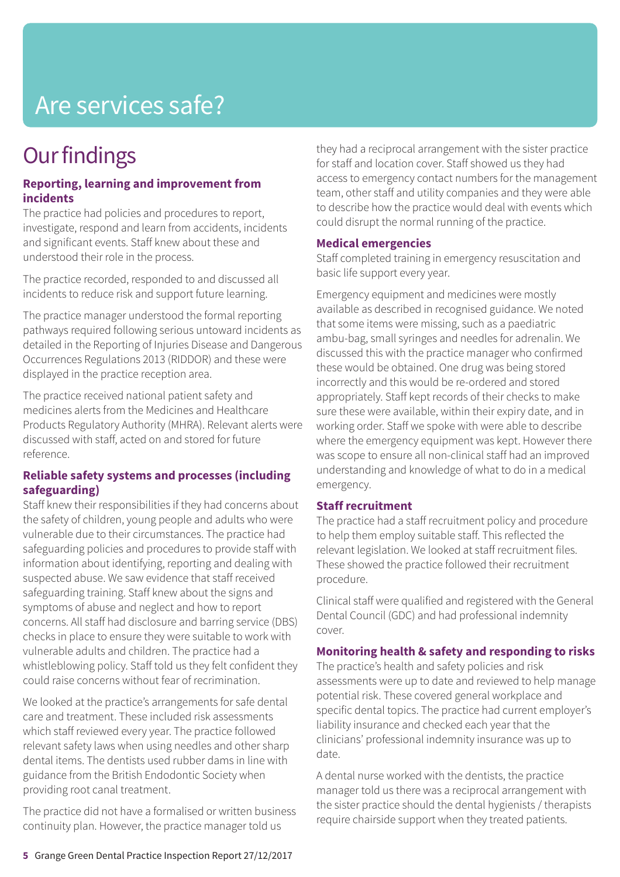# Are services safe?

# **Our findings**

#### **Reporting, learning and improvement from incidents**

The practice had policies and procedures to report, investigate, respond and learn from accidents, incidents and significant events. Staff knew about these and understood their role in the process.

The practice recorded, responded to and discussed all incidents to reduce risk and support future learning.

The practice manager understood the formal reporting pathways required following serious untoward incidents as detailed in the Reporting of Injuries Disease and Dangerous Occurrences Regulations 2013 (RIDDOR) and these were displayed in the practice reception area.

The practice received national patient safety and medicines alerts from the Medicines and Healthcare Products Regulatory Authority (MHRA). Relevant alerts were discussed with staff, acted on and stored for future reference.

### **Reliable safety systems and processes (including safeguarding)**

Staff knew their responsibilities if they had concerns about the safety of children, young people and adults who were vulnerable due to their circumstances. The practice had safeguarding policies and procedures to provide staff with information about identifying, reporting and dealing with suspected abuse. We saw evidence that staff received safeguarding training. Staff knew about the signs and symptoms of abuse and neglect and how to report concerns. All staff had disclosure and barring service (DBS) checks in place to ensure they were suitable to work with vulnerable adults and children. The practice had a whistleblowing policy. Staff told us they felt confident they could raise concerns without fear of recrimination.

We looked at the practice's arrangements for safe dental care and treatment. These included risk assessments which staff reviewed every year. The practice followed relevant safety laws when using needles and other sharp dental items. The dentists used rubber dams in line with guidance from the British Endodontic Society when providing root canal treatment.

The practice did not have a formalised or written business continuity plan. However, the practice manager told us

they had a reciprocal arrangement with the sister practice for staff and location cover. Staff showed us they had access to emergency contact numbers for the management team, other staff and utility companies and they were able to describe how the practice would deal with events which could disrupt the normal running of the practice.

#### **Medical emergencies**

Staff completed training in emergency resuscitation and basic life support every year.

Emergency equipment and medicines were mostly available as described in recognised guidance. We noted that some items were missing, such as a paediatric ambu-bag, small syringes and needles for adrenalin. We discussed this with the practice manager who confirmed these would be obtained. One drug was being stored incorrectly and this would be re-ordered and stored appropriately. Staff kept records of their checks to make sure these were available, within their expiry date, and in working order. Staff we spoke with were able to describe where the emergency equipment was kept. However there was scope to ensure all non-clinical staff had an improved understanding and knowledge of what to do in a medical emergency.

#### **Staff recruitment**

The practice had a staff recruitment policy and procedure to help them employ suitable staff. This reflected the relevant legislation. We looked at staff recruitment files. These showed the practice followed their recruitment procedure.

Clinical staff were qualified and registered with the General Dental Council (GDC) and had professional indemnity cover.

### **Monitoring health & safety and responding to risks**

The practice's health and safety policies and risk assessments were up to date and reviewed to help manage potential risk. These covered general workplace and specific dental topics. The practice had current employer's liability insurance and checked each year that the clinicians' professional indemnity insurance was up to date.

A dental nurse worked with the dentists, the practice manager told us there was a reciprocal arrangement with the sister practice should the dental hygienists / therapists require chairside support when they treated patients.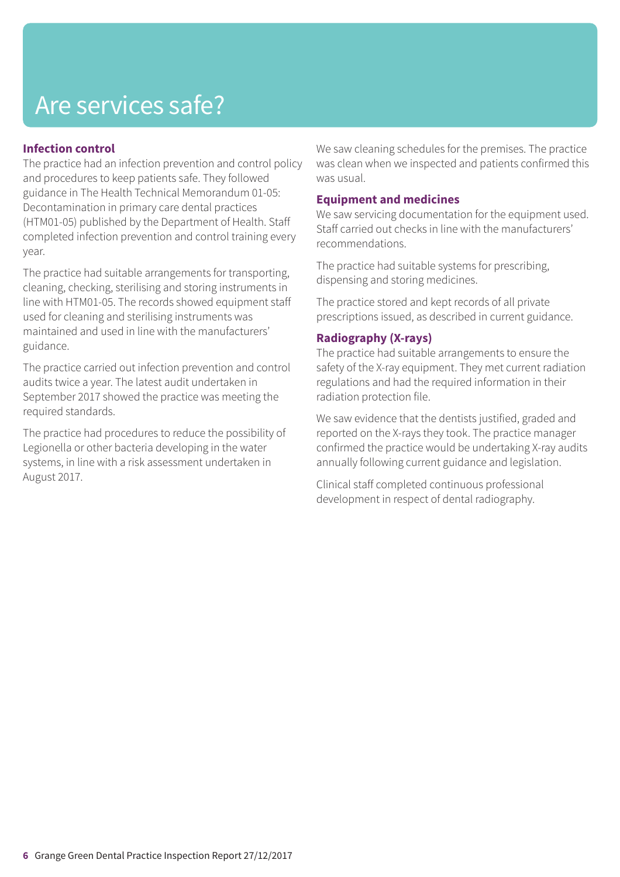# Are services safe?

### **Infection control**

The practice had an infection prevention and control policy and procedures to keep patients safe. They followed guidance in The Health Technical Memorandum 01-05: Decontamination in primary care dental practices (HTM01-05) published by the Department of Health. Staff completed infection prevention and control training every year.

The practice had suitable arrangements for transporting, cleaning, checking, sterilising and storing instruments in line with HTM01-05. The records showed equipment staff used for cleaning and sterilising instruments was maintained and used in line with the manufacturers' guidance.

The practice carried out infection prevention and control audits twice a year. The latest audit undertaken in September 2017 showed the practice was meeting the required standards.

The practice had procedures to reduce the possibility of Legionella or other bacteria developing in the water systems, in line with a risk assessment undertaken in August 2017.

We saw cleaning schedules for the premises. The practice was clean when we inspected and patients confirmed this was usual.

#### **Equipment and medicines**

We saw servicing documentation for the equipment used. Staff carried out checks in line with the manufacturers' recommendations.

The practice had suitable systems for prescribing, dispensing and storing medicines.

The practice stored and kept records of all private prescriptions issued, as described in current guidance.

### **Radiography (X-rays)**

The practice had suitable arrangements to ensure the safety of the X-ray equipment. They met current radiation regulations and had the required information in their radiation protection file.

We saw evidence that the dentists justified, graded and reported on the X-rays they took. The practice manager confirmed the practice would be undertaking X-ray audits annually following current guidance and legislation.

Clinical staff completed continuous professional development in respect of dental radiography.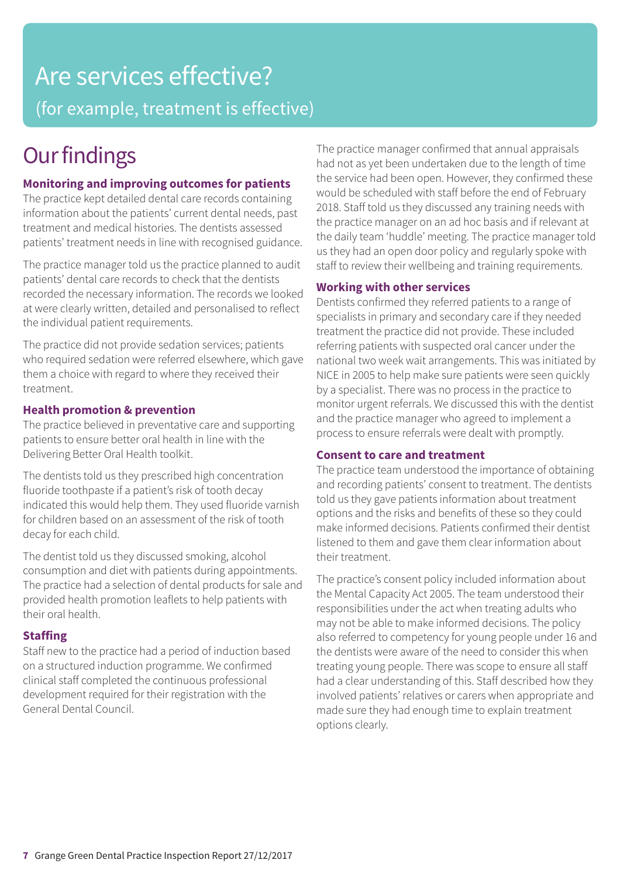# Are services effective? (for example, treatment is effective)

# **Our findings**

### **Monitoring and improving outcomes for patients**

The practice kept detailed dental care records containing information about the patients' current dental needs, past treatment and medical histories. The dentists assessed patients' treatment needs in line with recognised guidance.

The practice manager told us the practice planned to audit patients' dental care records to check that the dentists recorded the necessary information. The records we looked at were clearly written, detailed and personalised to reflect the individual patient requirements.

The practice did not provide sedation services; patients who required sedation were referred elsewhere, which gave them a choice with regard to where they received their treatment.

### **Health promotion & prevention**

The practice believed in preventative care and supporting patients to ensure better oral health in line with the Delivering Better Oral Health toolkit.

The dentists told us they prescribed high concentration fluoride toothpaste if a patient's risk of tooth decay indicated this would help them. They used fluoride varnish for children based on an assessment of the risk of tooth decay for each child.

The dentist told us they discussed smoking, alcohol consumption and diet with patients during appointments. The practice had a selection of dental products for sale and provided health promotion leaflets to help patients with their oral health.

### **Staffing**

Staff new to the practice had a period of induction based on a structured induction programme. We confirmed clinical staff completed the continuous professional development required for their registration with the General Dental Council.

The practice manager confirmed that annual appraisals had not as yet been undertaken due to the length of time the service had been open. However, they confirmed these would be scheduled with staff before the end of February 2018. Staff told us they discussed any training needs with the practice manager on an ad hoc basis and if relevant at the daily team 'huddle' meeting. The practice manager told us they had an open door policy and regularly spoke with staff to review their wellbeing and training requirements.

### **Working with other services**

Dentists confirmed they referred patients to a range of specialists in primary and secondary care if they needed treatment the practice did not provide. These included referring patients with suspected oral cancer under the national two week wait arrangements. This was initiated by NICE in 2005 to help make sure patients were seen quickly by a specialist. There was no process in the practice to monitor urgent referrals. We discussed this with the dentist and the practice manager who agreed to implement a process to ensure referrals were dealt with promptly.

### **Consent to care and treatment**

The practice team understood the importance of obtaining and recording patients' consent to treatment. The dentists told us they gave patients information about treatment options and the risks and benefits of these so they could make informed decisions. Patients confirmed their dentist listened to them and gave them clear information about their treatment.

The practice's consent policy included information about the Mental Capacity Act 2005. The team understood their responsibilities under the act when treating adults who may not be able to make informed decisions. The policy also referred to competency for young people under 16 and the dentists were aware of the need to consider this when treating young people. There was scope to ensure all staff had a clear understanding of this. Staff described how they involved patients' relatives or carers when appropriate and made sure they had enough time to explain treatment options clearly.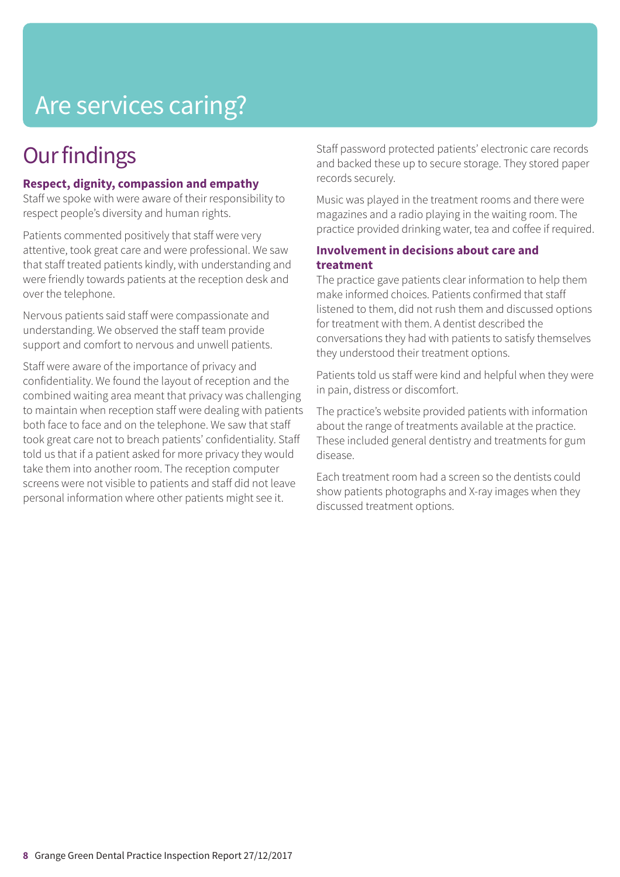# Are services caring?

# **Our findings**

### **Respect, dignity, compassion and empathy**

Staff we spoke with were aware of their responsibility to respect people's diversity and human rights.

Patients commented positively that staff were very attentive, took great care and were professional. We saw that staff treated patients kindly, with understanding and were friendly towards patients at the reception desk and over the telephone.

Nervous patients said staff were compassionate and understanding. We observed the staff team provide support and comfort to nervous and unwell patients.

Staff were aware of the importance of privacy and confidentiality. We found the layout of reception and the combined waiting area meant that privacy was challenging to maintain when reception staff were dealing with patients both face to face and on the telephone. We saw that staff took great care not to breach patients' confidentiality. Staff told us that if a patient asked for more privacy they would take them into another room. The reception computer screens were not visible to patients and staff did not leave personal information where other patients might see it.

Staff password protected patients' electronic care records and backed these up to secure storage. They stored paper records securely.

Music was played in the treatment rooms and there were magazines and a radio playing in the waiting room. The practice provided drinking water, tea and coffee if required.

### **Involvement in decisions about care and treatment**

The practice gave patients clear information to help them make informed choices. Patients confirmed that staff listened to them, did not rush them and discussed options for treatment with them. A dentist described the conversations they had with patients to satisfy themselves they understood their treatment options.

Patients told us staff were kind and helpful when they were in pain, distress or discomfort.

The practice's website provided patients with information about the range of treatments available at the practice. These included general dentistry and treatments for gum disease.

Each treatment room had a screen so the dentists could show patients photographs and X-ray images when they discussed treatment options.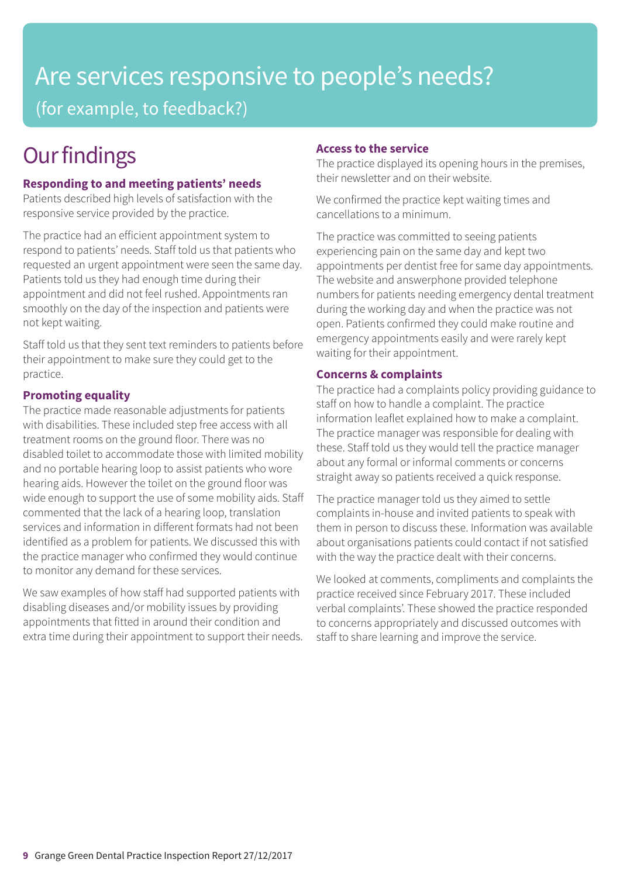## Are services responsive to people's needs? (for example, to feedback?)

# **Our findings**

### **Responding to and meeting patients' needs**

Patients described high levels of satisfaction with the responsive service provided by the practice.

The practice had an efficient appointment system to respond to patients' needs. Staff told us that patients who requested an urgent appointment were seen the same day. Patients told us they had enough time during their appointment and did not feel rushed. Appointments ran smoothly on the day of the inspection and patients were not kept waiting.

Staff told us that they sent text reminders to patients before their appointment to make sure they could get to the practice.

### **Promoting equality**

The practice made reasonable adjustments for patients with disabilities. These included step free access with all treatment rooms on the ground floor. There was no disabled toilet to accommodate those with limited mobility and no portable hearing loop to assist patients who wore hearing aids. However the toilet on the ground floor was wide enough to support the use of some mobility aids. Staff commented that the lack of a hearing loop, translation services and information in different formats had not been identified as a problem for patients. We discussed this with the practice manager who confirmed they would continue to monitor any demand for these services.

We saw examples of how staff had supported patients with disabling diseases and/or mobility issues by providing appointments that fitted in around their condition and extra time during their appointment to support their needs.

### **Access to the service**

The practice displayed its opening hours in the premises, their newsletter and on their website.

We confirmed the practice kept waiting times and cancellations to a minimum.

The practice was committed to seeing patients experiencing pain on the same day and kept two appointments per dentist free for same day appointments. The website and answerphone provided telephone numbers for patients needing emergency dental treatment during the working day and when the practice was not open. Patients confirmed they could make routine and emergency appointments easily and were rarely kept waiting for their appointment.

### **Concerns & complaints**

The practice had a complaints policy providing guidance to staff on how to handle a complaint. The practice information leaflet explained how to make a complaint. The practice manager was responsible for dealing with these. Staff told us they would tell the practice manager about any formal or informal comments or concerns straight away so patients received a quick response.

The practice manager told us they aimed to settle complaints in-house and invited patients to speak with them in person to discuss these. Information was available about organisations patients could contact if not satisfied with the way the practice dealt with their concerns.

We looked at comments, compliments and complaints the practice received since February 2017. These included verbal complaints'. These showed the practice responded to concerns appropriately and discussed outcomes with staff to share learning and improve the service.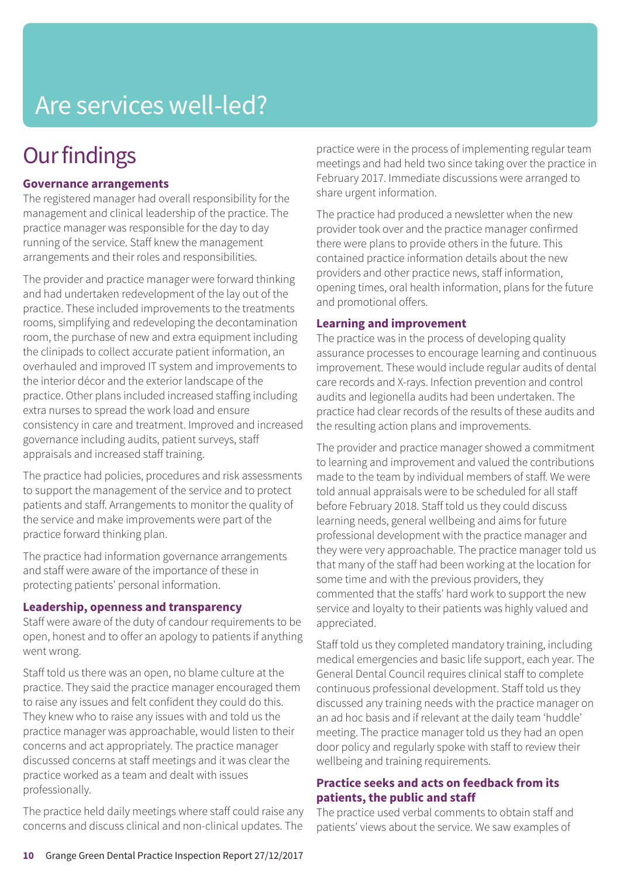# Are services well-led?

# **Our findings**

### **Governance arrangements**

The registered manager had overall responsibility for the management and clinical leadership of the practice. The practice manager was responsible for the day to day running of the service. Staff knew the management arrangements and their roles and responsibilities.

The provider and practice manager were forward thinking and had undertaken redevelopment of the lay out of the practice. These included improvements to the treatments rooms, simplifying and redeveloping the decontamination room, the purchase of new and extra equipment including the clinipads to collect accurate patient information, an overhauled and improved IT system and improvements to the interior décor and the exterior landscape of the practice. Other plans included increased staffing including extra nurses to spread the work load and ensure consistency in care and treatment. Improved and increased governance including audits, patient surveys, staff appraisals and increased staff training.

The practice had policies, procedures and risk assessments to support the management of the service and to protect patients and staff. Arrangements to monitor the quality of the service and make improvements were part of the practice forward thinking plan.

The practice had information governance arrangements and staff were aware of the importance of these in protecting patients' personal information.

#### **Leadership, openness and transparency**

Staff were aware of the duty of candour requirements to be open, honest and to offer an apology to patients if anything went wrong.

Staff told us there was an open, no blame culture at the practice. They said the practice manager encouraged them to raise any issues and felt confident they could do this. They knew who to raise any issues with and told us the practice manager was approachable, would listen to their concerns and act appropriately. The practice manager discussed concerns at staff meetings and it was clear the practice worked as a team and dealt with issues professionally.

The practice held daily meetings where staff could raise any concerns and discuss clinical and non-clinical updates. The

practice were in the process of implementing regular team meetings and had held two since taking over the practice in February 2017. Immediate discussions were arranged to share urgent information.

The practice had produced a newsletter when the new provider took over and the practice manager confirmed there were plans to provide others in the future. This contained practice information details about the new providers and other practice news, staff information, opening times, oral health information, plans for the future and promotional offers.

#### **Learning and improvement**

The practice was in the process of developing quality assurance processes to encourage learning and continuous improvement. These would include regular audits of dental care records and X-rays. Infection prevention and control audits and legionella audits had been undertaken. The practice had clear records of the results of these audits and the resulting action plans and improvements.

The provider and practice manager showed a commitment to learning and improvement and valued the contributions made to the team by individual members of staff. We were told annual appraisals were to be scheduled for all staff before February 2018. Staff told us they could discuss learning needs, general wellbeing and aims for future professional development with the practice manager and they were very approachable. The practice manager told us that many of the staff had been working at the location for some time and with the previous providers, they commented that the staffs' hard work to support the new service and loyalty to their patients was highly valued and appreciated.

Staff told us they completed mandatory training, including medical emergencies and basic life support, each year. The General Dental Council requires clinical staff to complete continuous professional development. Staff told us they discussed any training needs with the practice manager on an ad hoc basis and if relevant at the daily team 'huddle' meeting. The practice manager told us they had an open door policy and regularly spoke with staff to review their wellbeing and training requirements.

### **Practice seeks and acts on feedback from its patients, the public and staff**

The practice used verbal comments to obtain staff and patients' views about the service. We saw examples of